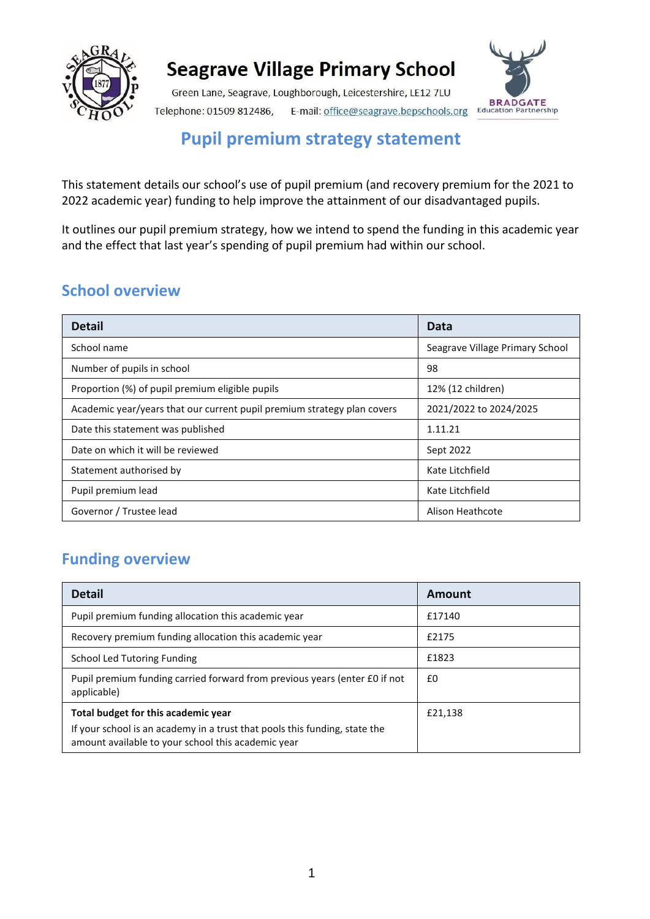

Green Lane, Seagrave, Loughborough, Leicestershire, LE12 7LU Telephone: 01509 812486, E-mail: office@seagrave.bepschools.org



### **Pupil premium strategy statement**

This statement details our school's use of pupil premium (and recovery premium for the 2021 to 2022 academic year) funding to help improve the attainment of our disadvantaged pupils.

It outlines our pupil premium strategy, how we intend to spend the funding in this academic year and the effect that last year's spending of pupil premium had within our school.

#### **School overview**

| <b>Detail</b>                                                           | Data                            |
|-------------------------------------------------------------------------|---------------------------------|
| School name                                                             | Seagrave Village Primary School |
| Number of pupils in school                                              | 98                              |
| Proportion (%) of pupil premium eligible pupils                         | 12% (12 children)               |
| Academic year/years that our current pupil premium strategy plan covers | 2021/2022 to 2024/2025          |
| Date this statement was published                                       | 1.11.21                         |
| Date on which it will be reviewed                                       | Sept 2022                       |
| Statement authorised by                                                 | Kate Litchfield                 |
| Pupil premium lead                                                      | Kate Litchfield                 |
| Governor / Trustee lead                                                 | Alison Heathcote                |

#### **Funding overview**

| <b>Detail</b>                                                                                                                    | Amount  |
|----------------------------------------------------------------------------------------------------------------------------------|---------|
| Pupil premium funding allocation this academic year                                                                              | £17140  |
| Recovery premium funding allocation this academic year                                                                           | £2175   |
| School Led Tutoring Funding                                                                                                      | £1823   |
| Pupil premium funding carried forward from previous years (enter £0 if not<br>applicable)                                        | £0      |
| Total budget for this academic year                                                                                              | £21,138 |
| If your school is an academy in a trust that pools this funding, state the<br>amount available to your school this academic year |         |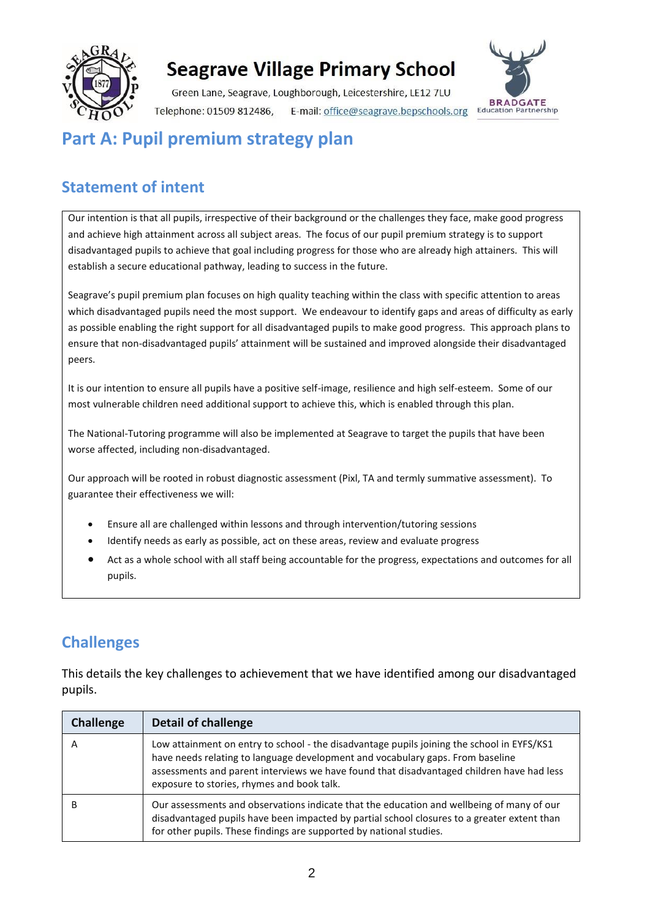

Green Lane, Seagrave, Loughborough, Leicestershire, LE12 7LU Telephone: 01509 812486, E-mail: office@seagrave.bepschools.org



### **Part A: Pupil premium strategy plan**

### **Statement of intent**

Our intention is that all pupils, irrespective of their background or the challenges they face, make good progress and achieve high attainment across all subject areas. The focus of our pupil premium strategy is to support disadvantaged pupils to achieve that goal including progress for those who are already high attainers. This will establish a secure educational pathway, leading to success in the future.

Seagrave's pupil premium plan focuses on high quality teaching within the class with specific attention to areas which disadvantaged pupils need the most support. We endeavour to identify gaps and areas of difficulty as early as possible enabling the right support for all disadvantaged pupils to make good progress. This approach plans to ensure that non-disadvantaged pupils' attainment will be sustained and improved alongside their disadvantaged peers.

It is our intention to ensure all pupils have a positive self-image, resilience and high self-esteem. Some of our most vulnerable children need additional support to achieve this, which is enabled through this plan.

The National-Tutoring programme will also be implemented at Seagrave to target the pupils that have been worse affected, including non-disadvantaged.

Our approach will be rooted in robust diagnostic assessment (Pixl, TA and termly summative assessment). To guarantee their effectiveness we will:

- Ensure all are challenged within lessons and through intervention/tutoring sessions
- Identify needs as early as possible, act on these areas, review and evaluate progress
- Act as a whole school with all staff being accountable for the progress, expectations and outcomes for all pupils.

#### **Challenges**

This details the key challenges to achievement that we have identified among our disadvantaged pupils.

| <b>Challenge</b> | <b>Detail of challenge</b>                                                                                                                                                                                                                                                                                              |
|------------------|-------------------------------------------------------------------------------------------------------------------------------------------------------------------------------------------------------------------------------------------------------------------------------------------------------------------------|
| A                | Low attainment on entry to school - the disadvantage pupils joining the school in EYFS/KS1<br>have needs relating to language development and vocabulary gaps. From baseline<br>assessments and parent interviews we have found that disadvantaged children have had less<br>exposure to stories, rhymes and book talk. |
|                  | Our assessments and observations indicate that the education and wellbeing of many of our<br>disadvantaged pupils have been impacted by partial school closures to a greater extent than<br>for other pupils. These findings are supported by national studies.                                                         |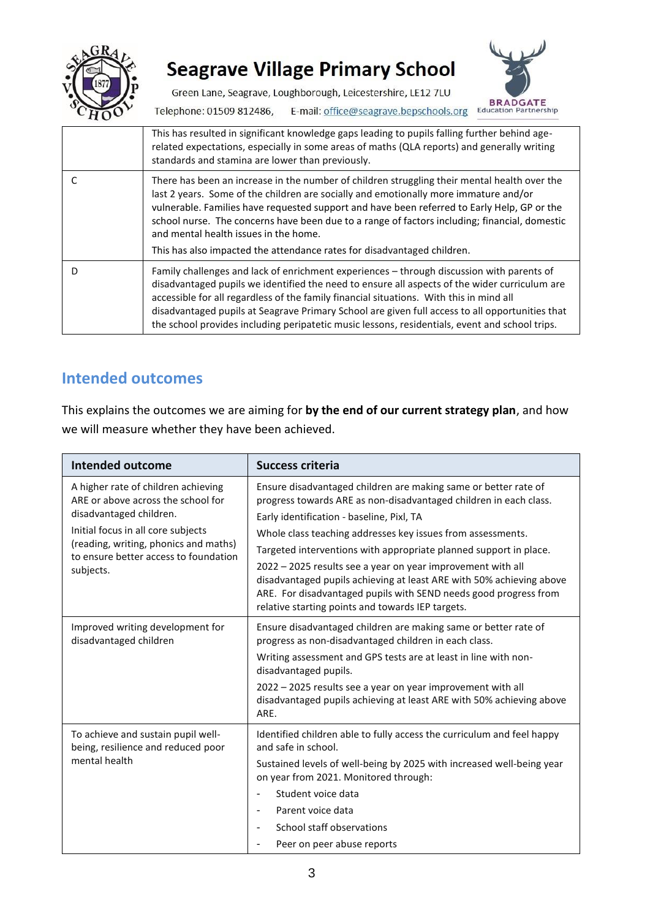

Green Lane, Seagrave, Loughborough, Leicestershire, LE12 7LU



Telephone: 01509 812486, E-mail: office@seagrave.bepschools.org

| This has resulted in significant knowledge gaps leading to pupils falling further behind age-<br>related expectations, especially in some areas of maths (QLA reports) and generally writing<br>standards and stamina are lower than previously.                                                                                                                                                                                                                                                         |
|----------------------------------------------------------------------------------------------------------------------------------------------------------------------------------------------------------------------------------------------------------------------------------------------------------------------------------------------------------------------------------------------------------------------------------------------------------------------------------------------------------|
| There has been an increase in the number of children struggling their mental health over the<br>last 2 years. Some of the children are socially and emotionally more immature and/or<br>vulnerable. Families have requested support and have been referred to Early Help, GP or the<br>school nurse. The concerns have been due to a range of factors including; financial, domestic<br>and mental health issues in the home.<br>This has also impacted the attendance rates for disadvantaged children. |
|                                                                                                                                                                                                                                                                                                                                                                                                                                                                                                          |
| Family challenges and lack of enrichment experiences - through discussion with parents of<br>disadvantaged pupils we identified the need to ensure all aspects of the wider curriculum are<br>accessible for all regardless of the family financial situations. With this in mind all<br>disadvantaged pupils at Seagrave Primary School are given full access to all opportunities that<br>the school provides including peripatetic music lessons, residentials, event and school trips.               |

#### **Intended outcomes**

This explains the outcomes we are aiming for **by the end of our current strategy plan**, and how we will measure whether they have been achieved.

| <b>Intended outcome</b>                                                                                                                                                                                                                   | <b>Success criteria</b>                                                                                                                                                                                                                                                                                                                                                                                                                                                                                                                                                               |
|-------------------------------------------------------------------------------------------------------------------------------------------------------------------------------------------------------------------------------------------|---------------------------------------------------------------------------------------------------------------------------------------------------------------------------------------------------------------------------------------------------------------------------------------------------------------------------------------------------------------------------------------------------------------------------------------------------------------------------------------------------------------------------------------------------------------------------------------|
| A higher rate of children achieving<br>ARE or above across the school for<br>disadvantaged children.<br>Initial focus in all core subjects<br>(reading, writing, phonics and maths)<br>to ensure better access to foundation<br>subjects. | Ensure disadvantaged children are making same or better rate of<br>progress towards ARE as non-disadvantaged children in each class.<br>Early identification - baseline, Pixl, TA<br>Whole class teaching addresses key issues from assessments.<br>Targeted interventions with appropriate planned support in place.<br>2022 - 2025 results see a year on year improvement with all<br>disadvantaged pupils achieving at least ARE with 50% achieving above<br>ARE. For disadvantaged pupils with SEND needs good progress from<br>relative starting points and towards IEP targets. |
| Improved writing development for<br>disadvantaged children                                                                                                                                                                                | Ensure disadvantaged children are making same or better rate of<br>progress as non-disadvantaged children in each class.<br>Writing assessment and GPS tests are at least in line with non-<br>disadvantaged pupils.<br>2022 – 2025 results see a year on year improvement with all<br>disadvantaged pupils achieving at least ARE with 50% achieving above<br>ARE.                                                                                                                                                                                                                   |
| To achieve and sustain pupil well-<br>being, resilience and reduced poor<br>mental health                                                                                                                                                 | Identified children able to fully access the curriculum and feel happy<br>and safe in school.<br>Sustained levels of well-being by 2025 with increased well-being year<br>on year from 2021. Monitored through:<br>Student voice data<br>Parent voice data<br>School staff observations<br>Peer on peer abuse reports                                                                                                                                                                                                                                                                 |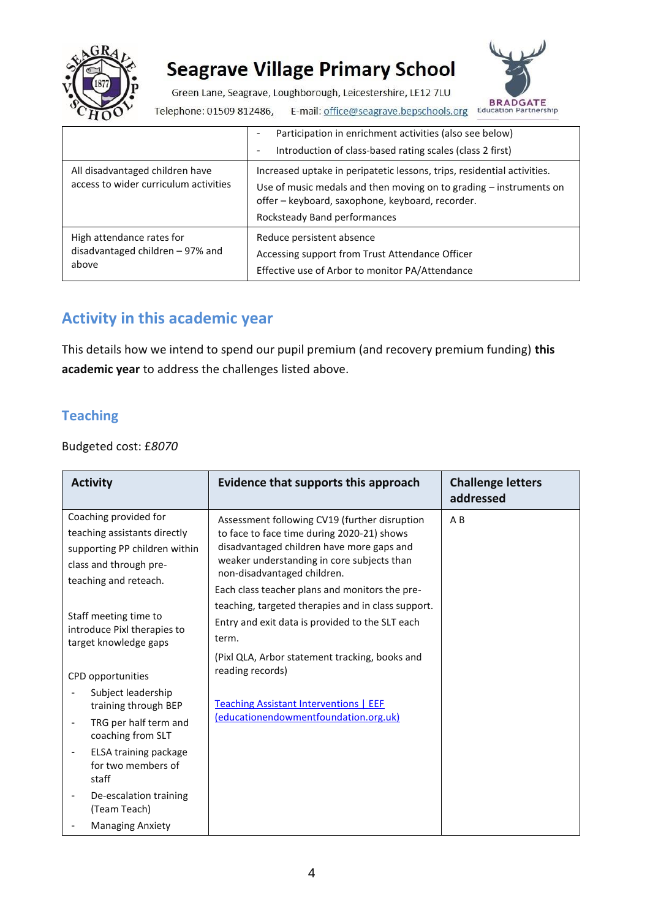

Green Lane, Seagrave, Loughborough, Leicestershire, LE12 7LU



Telephone: 01509 812486, E-mail: office@seagrave.bepschools.org

|                                                                          | Participation in enrichment activities (also see below)<br>۰<br>Introduction of class-based rating scales (class 2 first)<br>٠                                                                                                    |
|--------------------------------------------------------------------------|-----------------------------------------------------------------------------------------------------------------------------------------------------------------------------------------------------------------------------------|
| All disadvantaged children have<br>access to wider curriculum activities | Increased uptake in peripatetic lessons, trips, residential activities.<br>Use of music medals and then moving on to grading - instruments on<br>offer - keyboard, saxophone, keyboard, recorder.<br>Rocksteady Band performances |
| High attendance rates for<br>disadvantaged children - 97% and<br>above   | Reduce persistent absence<br>Accessing support from Trust Attendance Officer<br>Effective use of Arbor to monitor PA/Attendance                                                                                                   |

### **Activity in this academic year**

This details how we intend to spend our pupil premium (and recovery premium funding) **this academic year** to address the challenges listed above.

#### **Teaching**

#### Budgeted cost: £*8070*

| <b>Activity</b>                                                                                                                           | Evidence that supports this approach                                                                                                                                                                                                                                    | <b>Challenge letters</b><br>addressed |
|-------------------------------------------------------------------------------------------------------------------------------------------|-------------------------------------------------------------------------------------------------------------------------------------------------------------------------------------------------------------------------------------------------------------------------|---------------------------------------|
| Coaching provided for<br>teaching assistants directly<br>supporting PP children within<br>class and through pre-<br>teaching and reteach. | Assessment following CV19 (further disruption<br>to face to face time during 2020-21) shows<br>disadvantaged children have more gaps and<br>weaker understanding in core subjects than<br>non-disadvantaged children.<br>Each class teacher plans and monitors the pre- | $A$ $B$                               |
| Staff meeting time to<br>introduce Pixl therapies to<br>target knowledge gaps                                                             | teaching, targeted therapies and in class support.<br>Entry and exit data is provided to the SLT each<br>term.<br>(Pixl QLA, Arbor statement tracking, books and<br>reading records)                                                                                    |                                       |
| CPD opportunities<br>Subject leadership<br>training through BEP<br>TRG per half term and<br>coaching from SLT<br>ELSA training package    | <b>Teaching Assistant Interventions   EEF</b><br>(educationendowmentfoundation.org.uk)                                                                                                                                                                                  |                                       |
| for two members of<br>staff<br>De-escalation training<br>(Team Teach)<br><b>Managing Anxiety</b>                                          |                                                                                                                                                                                                                                                                         |                                       |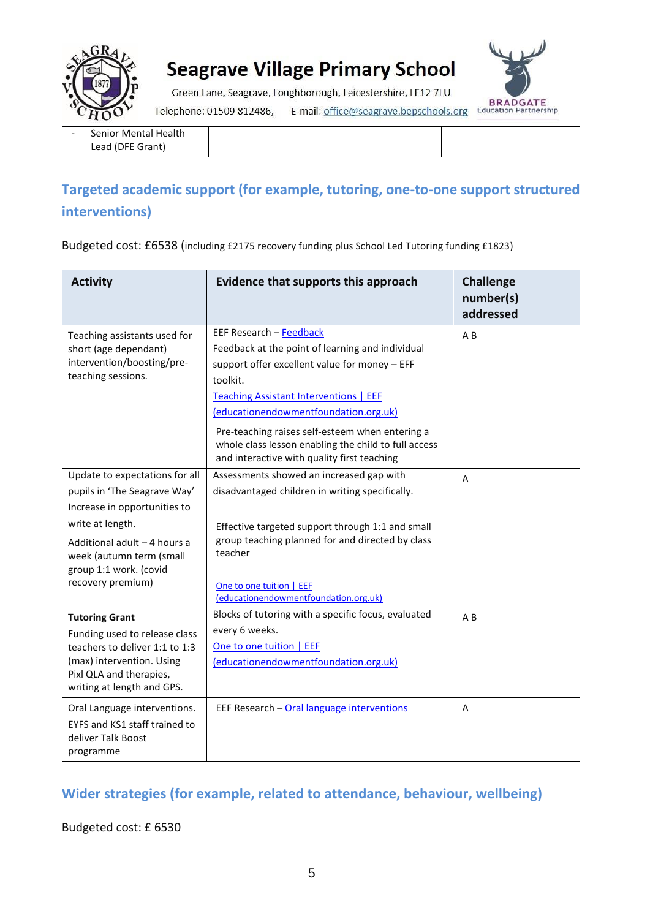

Green Lane, Seagrave, Loughborough, Leicestershire, LE12 7LU



E-mail: office@seagrave.bepschools.org Education Partnership Telephone: 01509 812486,

| ۰ | <b>Senior Mental Health</b> |
|---|-----------------------------|
|   | Lead (DFE Grant)            |

#### **Targeted academic support (for example, tutoring, one-to-one support structured interventions)**

Budgeted cost: £6538 (including £2175 recovery funding plus School Led Tutoring funding £1823)

| <b>Activity</b>                                                                                                                                                                                                               | Evidence that supports this approach                                                                                                                                                                                                                                                                                                                                                         | <b>Challenge</b><br>number(s)<br>addressed |
|-------------------------------------------------------------------------------------------------------------------------------------------------------------------------------------------------------------------------------|----------------------------------------------------------------------------------------------------------------------------------------------------------------------------------------------------------------------------------------------------------------------------------------------------------------------------------------------------------------------------------------------|--------------------------------------------|
| Teaching assistants used for<br>short (age dependant)<br>intervention/boosting/pre-<br>teaching sessions.                                                                                                                     | EEF Research - Feedback<br>Feedback at the point of learning and individual<br>support offer excellent value for money - EFF<br>toolkit.<br><b>Teaching Assistant Interventions   EEF</b><br>(educationendowmentfoundation.org.uk)<br>Pre-teaching raises self-esteem when entering a<br>whole class lesson enabling the child to full access<br>and interactive with quality first teaching | A <sub>B</sub>                             |
| Update to expectations for all<br>pupils in 'The Seagrave Way'<br>Increase in opportunities to<br>write at length.<br>Additional adult - 4 hours a<br>week (autumn term (small<br>group 1:1 work. (covid<br>recovery premium) | Assessments showed an increased gap with<br>disadvantaged children in writing specifically.<br>Effective targeted support through 1:1 and small<br>group teaching planned for and directed by class<br>teacher<br>One to one tuition   EEF<br>(educationendowmentfoundation.org.uk)                                                                                                          | A                                          |
| <b>Tutoring Grant</b><br>Funding used to release class<br>teachers to deliver 1:1 to 1:3<br>(max) intervention. Using<br>Pixl QLA and therapies,<br>writing at length and GPS.                                                | Blocks of tutoring with a specific focus, evaluated<br>every 6 weeks.<br>One to one tuition   EEF<br>(educationendowmentfoundation.org.uk)                                                                                                                                                                                                                                                   | $A$ $B$                                    |
| Oral Language interventions.<br>EYFS and KS1 staff trained to<br>deliver Talk Boost<br>programme                                                                                                                              | EEF Research - Oral language interventions                                                                                                                                                                                                                                                                                                                                                   | A                                          |

#### **Wider strategies (for example, related to attendance, behaviour, wellbeing)**

Budgeted cost: £ 6530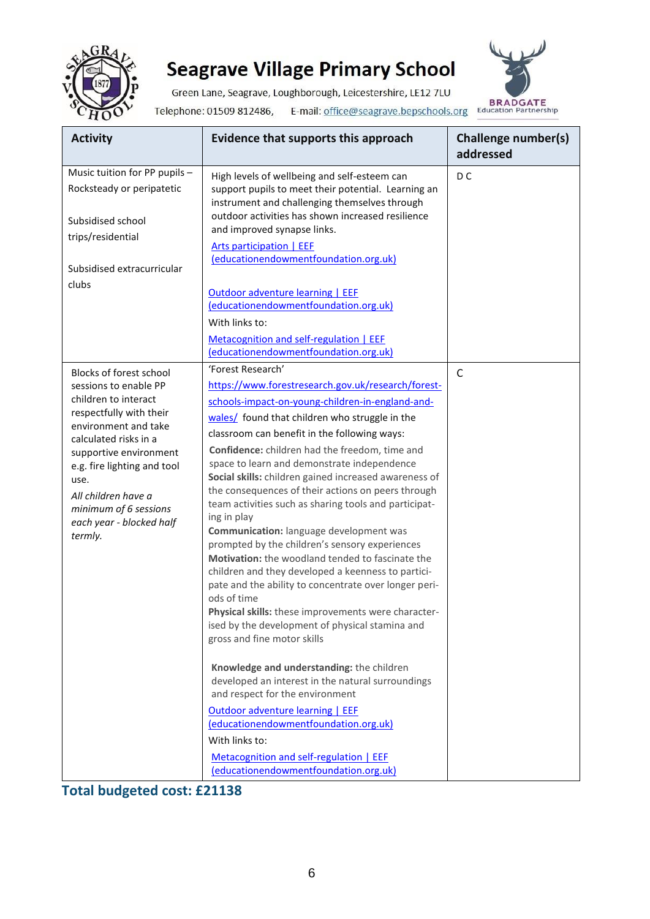

Green Lane, Seagrave, Loughborough, Leicestershire, LE12 7LU Telephone: 01509 812486, E-mail: office@seagrave.bepschools.org BRADGATE



| <b>Activity</b>                                            | Evidence that supports this approach                                                                                                                 | Challenge number(s)<br>addressed |
|------------------------------------------------------------|------------------------------------------------------------------------------------------------------------------------------------------------------|----------------------------------|
| Music tuition for PP pupils -<br>Rocksteady or peripatetic | High levels of wellbeing and self-esteem can<br>support pupils to meet their potential. Learning an<br>instrument and challenging themselves through | D <sub>C</sub>                   |
| Subsidised school<br>trips/residential                     | outdoor activities has shown increased resilience<br>and improved synapse links.<br><b>Arts participation   EEF</b>                                  |                                  |
| Subsidised extracurricular                                 | (educationendowmentfoundation.org.uk)                                                                                                                |                                  |
| clubs                                                      | <b>Outdoor adventure learning   EEF</b><br>(educationendowmentfoundation.org.uk)                                                                     |                                  |
|                                                            | With links to:                                                                                                                                       |                                  |
|                                                            | Metacognition and self-regulation   EEF<br>(educationendowmentfoundation.org.uk)                                                                     |                                  |
| Blocks of forest school                                    | 'Forest Research'                                                                                                                                    | $\mathsf{C}$                     |
| sessions to enable PP                                      | https://www.forestresearch.gov.uk/research/forest-                                                                                                   |                                  |
| children to interact<br>respectfully with their            | schools-impact-on-young-children-in-england-and-                                                                                                     |                                  |
| environment and take                                       | wales/ found that children who struggle in the                                                                                                       |                                  |
| calculated risks in a                                      | classroom can benefit in the following ways:                                                                                                         |                                  |
| supportive environment                                     | Confidence: children had the freedom, time and                                                                                                       |                                  |
| e.g. fire lighting and tool                                | space to learn and demonstrate independence<br>Social skills: children gained increased awareness of                                                 |                                  |
| use.<br>All children have a                                | the consequences of their actions on peers through                                                                                                   |                                  |
| minimum of 6 sessions                                      | team activities such as sharing tools and participat-                                                                                                |                                  |
| each year - blocked half                                   | ing in play                                                                                                                                          |                                  |
| termly.                                                    | Communication: language development was<br>prompted by the children's sensory experiences                                                            |                                  |
|                                                            | Motivation: the woodland tended to fascinate the                                                                                                     |                                  |
|                                                            | children and they developed a keenness to partici-                                                                                                   |                                  |
|                                                            | pate and the ability to concentrate over longer peri-                                                                                                |                                  |
|                                                            | ods of time<br>Physical skills: these improvements were character-                                                                                   |                                  |
|                                                            | ised by the development of physical stamina and                                                                                                      |                                  |
|                                                            | gross and fine motor skills                                                                                                                          |                                  |
|                                                            | Knowledge and understanding: the children<br>developed an interest in the natural surroundings<br>and respect for the environment                    |                                  |
|                                                            | Outdoor adventure learning   EEF<br>(educationendowmentfoundation.org.uk)                                                                            |                                  |
|                                                            | With links to:                                                                                                                                       |                                  |
|                                                            | Metacognition and self-regulation   EEF<br>(educationendowmentfoundation.org.uk)                                                                     |                                  |

**Total budgeted cost: £21138**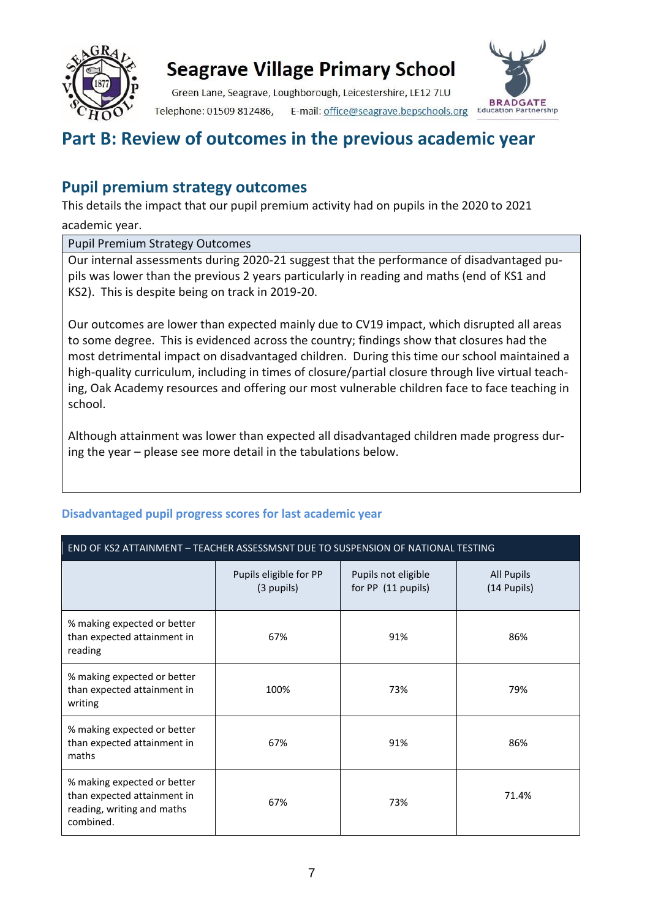

Green Lane, Seagrave, Loughborough, Leicestershire, LE12 7LU Telephone: 01509 812486, E-mail: office@seagrave.bepschools.org



### **Part B: Review of outcomes in the previous academic year**

#### **Pupil premium strategy outcomes**

This details the impact that our pupil premium activity had on pupils in the 2020 to 2021 academic year.

Pupil Premium Strategy Outcomes

Our internal assessments during 2020-21 suggest that the performance of disadvantaged pupils was lower than the previous 2 years particularly in reading and maths (end of KS1 and KS2). This is despite being on track in 2019-20.

Our outcomes are lower than expected mainly due to CV19 impact, which disrupted all areas to some degree. This is evidenced across the country; findings show that closures had the most detrimental impact on disadvantaged children. During this time our school maintained a high-quality curriculum, including in times of closure/partial closure through live virtual teaching, Oak Academy resources and offering our most vulnerable children face to face teaching in school.

Although attainment was lower than expected all disadvantaged children made progress during the year – please see more detail in the tabulations below.

#### END OF KS2 ATTAINMENT – TEACHER ASSESSMSNT DUE TO SUSPENSION OF NATIONAL TESTING Pupils eligible for PP (3 pupils) Pupils not eligible for PP (11 pupils) All Pupils (14 Pupils) % making expected or better than expected attainment in reading 67% 91% 86% % making expected or better than expected attainment in writing 100% 73% 79% % making expected or better than expected attainment in maths 67% 91% 86% % making expected or better than expected attainment in reading, writing and maths combined. 67% 73% 71.4%

#### **Disadvantaged pupil progress scores for last academic year**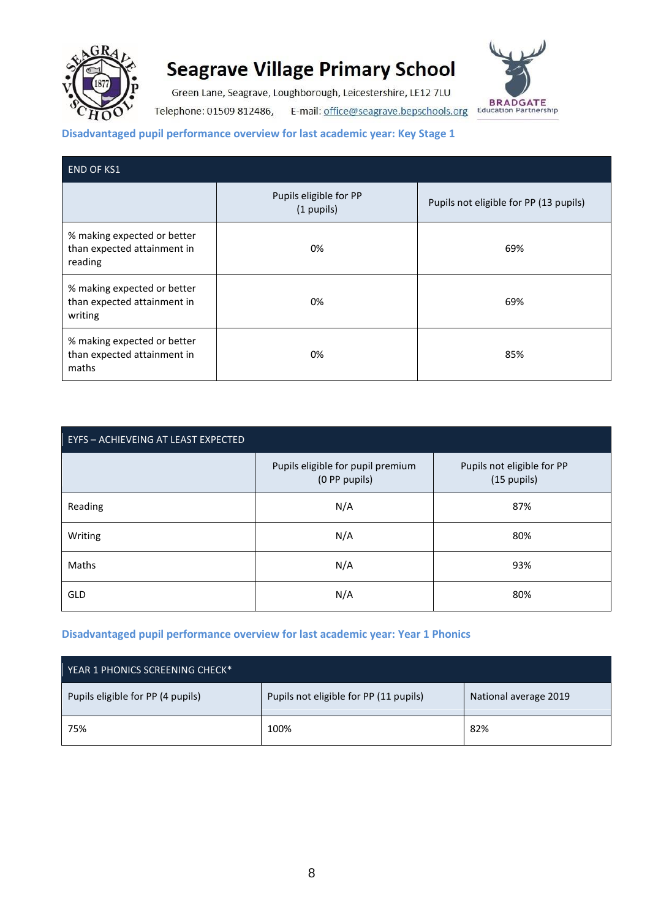

Green Lane, Seagrave, Loughborough, Leicestershire, LE12 7LU Telephone: 01509 812486, E-mail: office@seagrave.bepschools.org



#### **Disadvantaged pupil performance overview for last academic year: Key Stage 1**

| <b>END OF KS1</b>                                                     |                                      |                                        |  |
|-----------------------------------------------------------------------|--------------------------------------|----------------------------------------|--|
|                                                                       | Pupils eligible for PP<br>(1 pupils) | Pupils not eligible for PP (13 pupils) |  |
| % making expected or better<br>than expected attainment in<br>reading | 0%                                   | 69%                                    |  |
| % making expected or better<br>than expected attainment in<br>writing | 0%                                   | 69%                                    |  |
| % making expected or better<br>than expected attainment in<br>maths   | 0%                                   | 85%                                    |  |

| EYFS - ACHIEVEING AT LEAST EXPECTED |                                                    |                                           |  |
|-------------------------------------|----------------------------------------------------|-------------------------------------------|--|
|                                     | Pupils eligible for pupil premium<br>(0 PP pupils) | Pupils not eligible for PP<br>(15 pupils) |  |
| Reading                             | N/A                                                | 87%                                       |  |
| Writing                             | N/A                                                | 80%                                       |  |
| Maths                               | N/A                                                | 93%                                       |  |
| GLD                                 | N/A                                                | 80%                                       |  |

#### **Disadvantaged pupil performance overview for last academic year: Year 1 Phonics**

| YEAR 1 PHONICS SCREENING CHECK*   |                                        |                       |  |
|-----------------------------------|----------------------------------------|-----------------------|--|
| Pupils eligible for PP (4 pupils) | Pupils not eligible for PP (11 pupils) | National average 2019 |  |
| 75%                               | 100%                                   | 82%                   |  |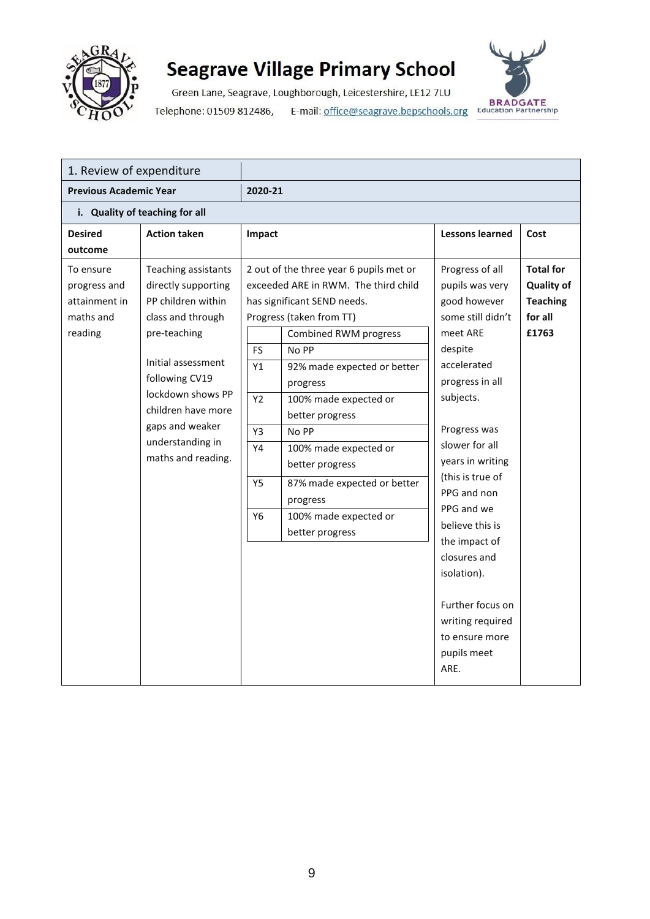

Green Lane, Seagrave, Loughborough, Leicestershire, LE12 7LU E-mail: office@seagrave.bepschools.org BRADGATE Telephone: 01509 812486,



| 1. Review of expenditure                                                                                                                                                                                                                              |                                                                  |                                                                                                                                                                                                                                                                          |                                                                                                                                                                                                                                                                                                                                                                                                  |                                                                              |
|-------------------------------------------------------------------------------------------------------------------------------------------------------------------------------------------------------------------------------------------------------|------------------------------------------------------------------|--------------------------------------------------------------------------------------------------------------------------------------------------------------------------------------------------------------------------------------------------------------------------|--------------------------------------------------------------------------------------------------------------------------------------------------------------------------------------------------------------------------------------------------------------------------------------------------------------------------------------------------------------------------------------------------|------------------------------------------------------------------------------|
| <b>Previous Academic Year</b>                                                                                                                                                                                                                         | 2020-21                                                          |                                                                                                                                                                                                                                                                          |                                                                                                                                                                                                                                                                                                                                                                                                  |                                                                              |
| i. Quality of teaching for all                                                                                                                                                                                                                        |                                                                  |                                                                                                                                                                                                                                                                          |                                                                                                                                                                                                                                                                                                                                                                                                  |                                                                              |
| <b>Action taken</b>                                                                                                                                                                                                                                   |                                                                  |                                                                                                                                                                                                                                                                          | <b>Lessons learned</b>                                                                                                                                                                                                                                                                                                                                                                           | Cost                                                                         |
|                                                                                                                                                                                                                                                       |                                                                  |                                                                                                                                                                                                                                                                          |                                                                                                                                                                                                                                                                                                                                                                                                  |                                                                              |
| Teaching assistants<br>directly supporting<br>PP children within<br>class and through<br>pre-teaching<br>Initial assessment<br>following CV19<br>lockdown shows PP<br>children have more<br>gaps and weaker<br>understanding in<br>maths and reading. | <b>FS</b><br>Y1<br>Y2<br>Y3<br>Y4<br><b>Y5</b><br>Y <sub>6</sub> | <b>Combined RWM progress</b><br>No PP<br>92% made expected or better<br>progress<br>100% made expected or<br>better progress<br>No PP<br>100% made expected or<br>better progress<br>87% made expected or better<br>progress<br>100% made expected or<br>better progress | Progress of all<br>pupils was very<br>good however<br>some still didn't<br>meet ARE<br>despite<br>accelerated<br>progress in all<br>subjects.<br>Progress was<br>slower for all<br>years in writing<br>(this is true of<br>PPG and non<br>PPG and we<br>believe this is<br>the impact of<br>closures and<br>isolation).<br>Further focus on<br>writing required<br>to ensure more<br>pupils meet | <b>Total for</b><br><b>Quality of</b><br><b>Teaching</b><br>for all<br>£1763 |
|                                                                                                                                                                                                                                                       |                                                                  |                                                                                                                                                                                                                                                                          | Impact<br>2 out of the three year 6 pupils met or<br>exceeded ARE in RWM. The third child<br>has significant SEND needs.<br>Progress (taken from TT)                                                                                                                                                                                                                                             | ARE.                                                                         |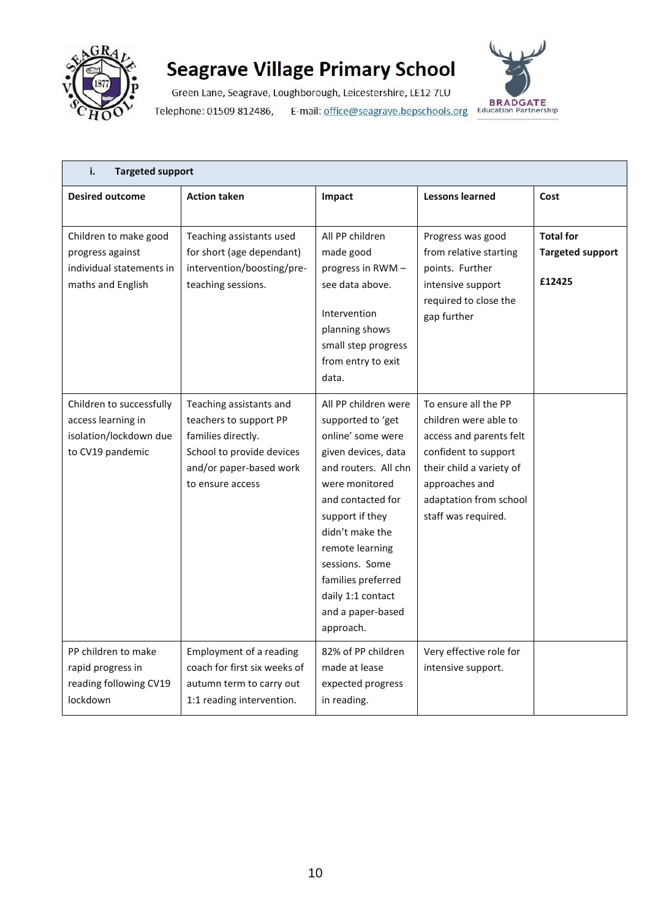

Green Lane, Seagrave, Loughborough, Leicestershire, LE12 7LU Telephone: 01509 812486, E-mail: office@seagrave.bepschools.org



| i.<br><b>Targeted support</b>                                                                |                                                                                                                                                     |                                                                                                                                                                                                                                                                                                              |                                                                                                                                                                                                 |                                                       |
|----------------------------------------------------------------------------------------------|-----------------------------------------------------------------------------------------------------------------------------------------------------|--------------------------------------------------------------------------------------------------------------------------------------------------------------------------------------------------------------------------------------------------------------------------------------------------------------|-------------------------------------------------------------------------------------------------------------------------------------------------------------------------------------------------|-------------------------------------------------------|
| <b>Desired outcome</b>                                                                       | <b>Action taken</b>                                                                                                                                 | Impact                                                                                                                                                                                                                                                                                                       | <b>Lessons learned</b>                                                                                                                                                                          | Cost                                                  |
| Children to make good<br>progress against<br>individual statements in<br>maths and English   | Teaching assistants used<br>for short (age dependant)<br>intervention/boosting/pre-<br>teaching sessions.                                           | All PP children<br>made good<br>progress in RWM -<br>see data above.<br>Intervention<br>planning shows<br>small step progress<br>from entry to exit<br>data.                                                                                                                                                 | Progress was good<br>from relative starting<br>points. Further<br>intensive support<br>required to close the<br>gap further                                                                     | <b>Total for</b><br><b>Targeted support</b><br>£12425 |
| Children to successfully<br>access learning in<br>isolation/lockdown due<br>to CV19 pandemic | Teaching assistants and<br>teachers to support PP<br>families directly.<br>School to provide devices<br>and/or paper-based work<br>to ensure access | All PP children were<br>supported to 'get<br>online' some were<br>given devices, data<br>and routers. All chn<br>were monitored<br>and contacted for<br>support if they<br>didn't make the<br>remote learning<br>sessions. Some<br>families preferred<br>daily 1:1 contact<br>and a paper-based<br>approach. | To ensure all the PP<br>children were able to<br>access and parents felt<br>confident to support<br>their child a variety of<br>approaches and<br>adaptation from school<br>staff was required. |                                                       |
| PP children to make<br>rapid progress in<br>reading following CV19<br>lockdown               | Employment of a reading<br>coach for first six weeks of<br>autumn term to carry out<br>1:1 reading intervention.                                    | 82% of PP children<br>made at lease<br>expected progress<br>in reading.                                                                                                                                                                                                                                      | Very effective role for<br>intensive support.                                                                                                                                                   |                                                       |